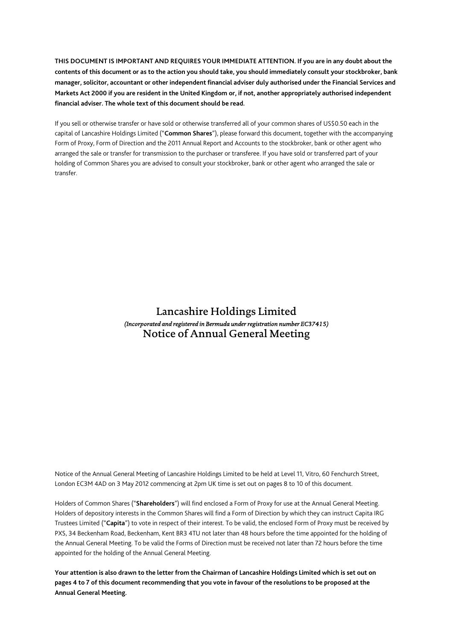**THIS DOCUMENT IS IMPORTANT AND REQUIRES YOUR IMMEDIATE ATTENTION. If you are in any doubt about the contents of this document or as to the action you should take, you should immediately consult your stockbroker, bank manager, solicitor, accountant or other independent financial adviser duly authorised under the Financial Services and Markets Act 2000 if you are resident in the United Kingdom or, if not, another appropriately authorised independent financial adviser. The whole text of this document should be read.** 

If you sell or otherwise transfer or have sold or otherwise transferred all of your common shares of US\$0.50 each in the capital of Lancashire Holdings Limited ("**Common Shares**"), please forward this document, together with the accompanying Form of Proxy, Form of Direction and the 2011 Annual Report and Accounts to the stockbroker, bank or other agent who arranged the sale or transfer for transmission to the purchaser or transferee. If you have sold or transferred part of your holding of Common Shares you are advised to consult your stockbroker, bank or other agent who arranged the sale or transfer.

# Lancashire Holdings Limited *(Incorporated and registered in Bermuda under registration number EC37415)*  Notice of Annual General Meeting

Notice of the Annual General Meeting of Lancashire Holdings Limited to be held at Level 11, Vitro, 60 Fenchurch Street, London EC3M 4AD on 3 May 2012 commencing at 2pm UK time is set out on pages 8 to 10 of this document.

Holders of Common Shares ("**Shareholders**") will find enclosed a Form of Proxy for use at the Annual General Meeting. Holders of depository interests in the Common Shares will find a Form of Direction by which they can instruct Capita IRG Trustees Limited ("**Capita**") to vote in respect of their interest. To be valid, the enclosed Form of Proxy must be received by PXS, 34 Beckenham Road, Beckenham, Kent BR3 4TU not later than 48 hours before the time appointed for the holding of the Annual General Meeting. To be valid the Forms of Direction must be received not later than 72 hours before the time appointed for the holding of the Annual General Meeting.

**Your attention is also drawn to the letter from the Chairman of Lancashire Holdings Limited which is set out on pages 4 to 7 of this document recommending that you vote in favour of the resolutions to be proposed at the Annual General Meeting.**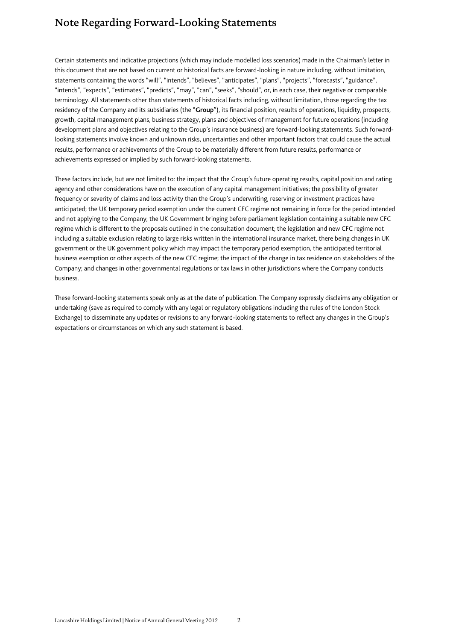# Note Regarding Forward-Looking Statements

Certain statements and indicative projections (which may include modelled loss scenarios) made in the Chairman's letter in this document that are not based on current or historical facts are forward-looking in nature including, without limitation, statements containing the words "will", "intends", "believes", "anticipates", "plans", "projects", "forecasts", "guidance", "intends", "expects", "estimates", "predicts", "may", "can", "seeks", "should", or, in each case, their negative or comparable terminology. All statements other than statements of historical facts including, without limitation, those regarding the tax residency of the Company and its subsidiaries (the "**Group**"), its financial position, results of operations, liquidity, prospects, growth, capital management plans, business strategy, plans and objectives of management for future operations (including development plans and objectives relating to the Group's insurance business) are forward-looking statements. Such forwardlooking statements involve known and unknown risks, uncertainties and other important factors that could cause the actual results, performance or achievements of the Group to be materially different from future results, performance or achievements expressed or implied by such forward-looking statements.

These factors include, but are not limited to: the impact that the Group's future operating results, capital position and rating agency and other considerations have on the execution of any capital management initiatives; the possibility of greater frequency or severity of claims and loss activity than the Group's underwriting, reserving or investment practices have anticipated; the UK temporary period exemption under the current CFC regime not remaining in force for the period intended and not applying to the Company; the UK Government bringing before parliament legislation containing a suitable new CFC regime which is different to the proposals outlined in the consultation document; the legislation and new CFC regime not including a suitable exclusion relating to large risks written in the international insurance market, there being changes in UK government or the UK government policy which may impact the temporary period exemption, the anticipated territorial business exemption or other aspects of the new CFC regime; the impact of the change in tax residence on stakeholders of the Company; and changes in other governmental regulations or tax laws in other jurisdictions where the Company conducts business.

These forward-looking statements speak only as at the date of publication. The Company expressly disclaims any obligation or undertaking (save as required to comply with any legal or regulatory obligations including the rules of the London Stock Exchange) to disseminate any updates or revisions to any forward-looking statements to reflect any changes in the Group's expectations or circumstances on which any such statement is based.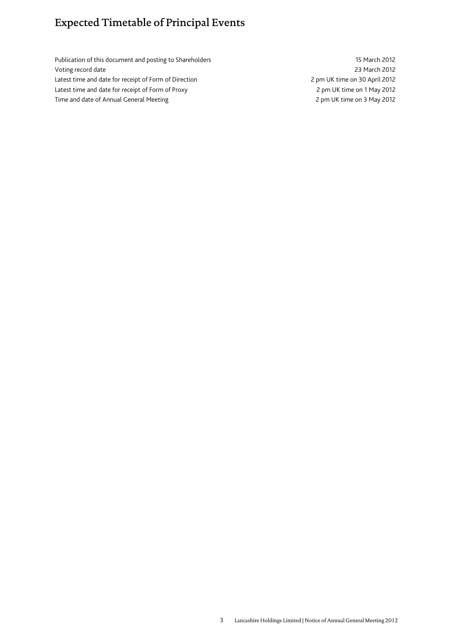# Expected Timetable of Principal Events

Publication of this document and posting to Shareholders 15 March 2012 Voting record date 23 March 2012 Latest time and date for receipt of Form of Direction 2 pm UK time on 30 April 2012 Latest time and date for receipt of Form of Proxy 2 pm UK time on 1 May 2012 Time and date of Annual General Meeting 2 pm UK time on 3 May 2012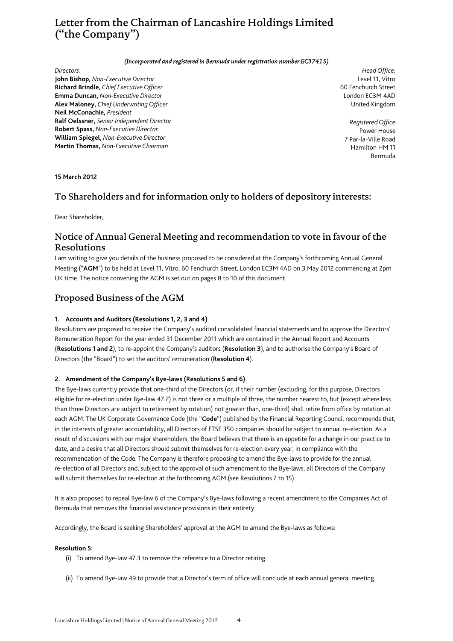# Letter from the Chairman of Lancashire Holdings Limited ("the Company")

#### *(Incorporated and registered in Bermuda under registration number EC37415)*

#### *Directors:*

**John Bishop,** *Non-Executive Director* **Richard Brindle,** *Chief Executive Officer* **Emma Duncan,** *Non-Executive Director* **Alex Maloney,** *Chief Underwriting Officer* **Neil McConachie,** *President* **Ralf Oelssner,** *Senior Independent Director* **Robert Spass,** *Non-Executive Director* **William Spiegel,** *Non-Executive Director* **Martin Thomas,** *Non-Executive Chairman*

*Head Office*: Level 11, Vitro 60 Fenchurch Street London EC3M 4AD United Kingdom

*Registered Office* Power House 7 Par-la-Ville Road Hamilton HM 11 Bermuda

#### **15 March 2012**

## To Shareholders and for information only to holders of depository interests:

Dear Shareholder,

## Notice of Annual General Meeting and recommendation to vote in favour of the Resolutions

I am writing to give you details of the business proposed to be considered at the Company's forthcoming Annual General Meeting ("**AGM**") to be held at Level 11, Vitro, 60 Fenchurch Street, London EC3M 4AD on 3 May 2012 commencing at 2pm UK time. The notice convening the AGM is set out on pages 8 to 10 of this document.

## Proposed Business of the AGM

### **1. Accounts and Auditors (Resolutions 1, 2, 3 and 4)**

Resolutions are proposed to receive the Company's audited consolidated financial statements and to approve the Directors' Remuneration Report for the year ended 31 December 2011 which are contained in the Annual Report and Accounts (**Resolutions 1 and 2**), to re-appoint the Company's auditors (**Resolution 3**), and to authorise the Company's Board of Directors (the "Board") to set the auditors' remuneration (**Resolution 4**).

### **2. Amendment of the Company's Bye-laws (Resolutions 5 and 6)**

The Bye-laws currently provide that one-third of the Directors (or, if their number (excluding, for this purpose, Directors eligible for re-election under Bye-law 47.2) is not three or a multiple of three, the number nearest to, but (except where less than three Directors are subject to retirement by rotation) not greater than, one-third) shall retire from office by rotation at each AGM. The UK Corporate Governance Code (the "**Code**") published by the Financial Reporting Council recommends that, in the interests of greater accountability, all Directors of FTSE 350 companies should be subject to annual re-election. As a result of discussions with our major shareholders, the Board believes that there is an appetite for a change in our practice to date, and a desire that all Directors should submit themselves for re-election every year, in compliance with the recommendation of the Code. The Company is therefore proposing to amend the Bye-laws to provide for the annual re-election of all Directors and, subject to the approval of such amendment to the Bye-laws, all Directors of the Company will submit themselves for re-election at the forthcoming AGM (see Resolutions 7 to 15).

It is also proposed to repeal Bye-law 6 of the Company's Bye-laws following a recent amendment to the Companies Act of Bermuda that removes the financial assistance provisions in their entirety.

Accordingly, the Board is seeking Shareholders' approval at the AGM to amend the Bye-laws as follows:

#### **Resolution 5:**

- (i) To amend Bye-law 47.3 to remove the reference to a Director retiring.
- (ii) To amend Bye-law 49 to provide that a Director's term of office will conclude at each annual general meeting.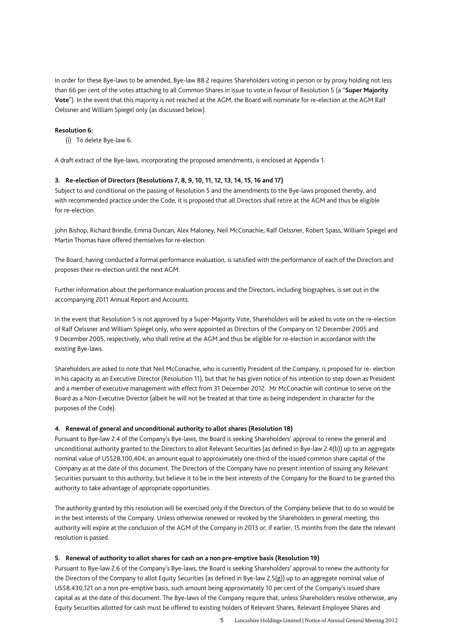In order for these Bye-laws to be amended, Bye-law 88.2 requires Shareholders voting in person or by proxy holding not less than 66 per cent of the votes attaching to all Common Shares in issue to vote in favour of Resolution 5 (a "**Super Majority Vote**"). In the event that this majority is not reached at the AGM, the Board will nominate for re-election at the AGM Ralf Oelssner and William Spiegel only (as discussed below).

#### **Resolution 6:**

(i) To delete Bye-law 6.

A draft extract of the Bye-laws, incorporating the proposed amendments, is enclosed at Appendix 1.

#### **3. Re-election of Directors (Resolutions 7, 8, 9, 10, 11, 12, 13, 14, 15, 16 and 17)**

Subject to and conditional on the passing of Resolution 5 and the amendments to the Bye-laws proposed thereby, and with recommended practice under the Code, it is proposed that all Directors shall retire at the AGM and thus be eligible for re-election.

John Bishop, Richard Brindle, Emma Duncan, Alex Maloney, Neil McConachie, Ralf Oelssner, Robert Spass, William Spiegel and Martin Thomas have offered themselves for re-election.

The Board, having conducted a formal performance evaluation, is satisfied with the performance of each of the Directors and proposes their re-election until the next AGM.

Further information about the performance evaluation process and the Directors, including biographies, is set out in the accompanying 2011 Annual Report and Accounts.

In the event that Resolution 5 is not approved by a Super-Majority Vote, Shareholders will be asked to vote on the re-election of Ralf Oelssner and William Spiegel only, who were appointed as Directors of the Company on 12 December 2005 and 9 December 2005, respectively, who shall retire at the AGM and thus be eligible for re-election in accordance with the existing Bye-laws.

Shareholders are asked to note that Neil McConachie, who is currently President of the Company, is proposed for re- election in his capacity as an Executive Director (Resolution 11), but that he has given notice of his intention to step down as President and a member of executive management with effect from 31 December 2012. Mr McConachie will continue to serve on the Board as a Non-Executive Director (albeit he will not be treated at that time as being independent in character for the purposes of the Code).

#### **4. Renewal of general and unconditional authority to allot shares (Resolution 18)**

Pursuant to Bye-law 2.4 of the Company's Bye-laws, the Board is seeking Shareholders' approval to renew the general and unconditional authority granted to the Directors to allot Relevant Securities (as defined in Bye-law 2.4(b)) up to an aggregate nominal value of US\$28,100,404, an amount equal to approximately one-third of the issued common share capital of the Company as at the date of this document. The Directors of the Company have no present intention of issuing any Relevant Securities pursuant to this authority, but believe it to be in the best interests of the Company for the Board to be granted this authority to take advantage of appropriate opportunities.

The authority granted by this resolution will be exercised only if the Directors of the Company believe that to do so would be in the best interests of the Company. Unless otherwise renewed or revoked by the Shareholders in general meeting, this authority will expire at the conclusion of the AGM of the Company in 2013 or, if earlier, 15 months from the date the relevant resolution is passed.

#### **5. Renewal of authority to allot shares for cash on a non pre-emptive basis (Resolution 19)**

Pursuant to Bye-law 2.6 of the Company's Bye-laws, the Board is seeking Shareholders' approval to renew the authority for the Directors of the Company to allot Equity Securities (as defined in Bye-law 2.5(g)) up to an aggregate nominal value of US\$8,430,121 on a non pre-emptive basis, such amount being approximately 10 per cent of the Company's issued share capital as at the date of this document. The Bye-laws of the Company require that, unless Shareholders resolve otherwise, any Equity Securities allotted for cash must be offered to existing holders of Relevant Shares, Relevant Employee Shares and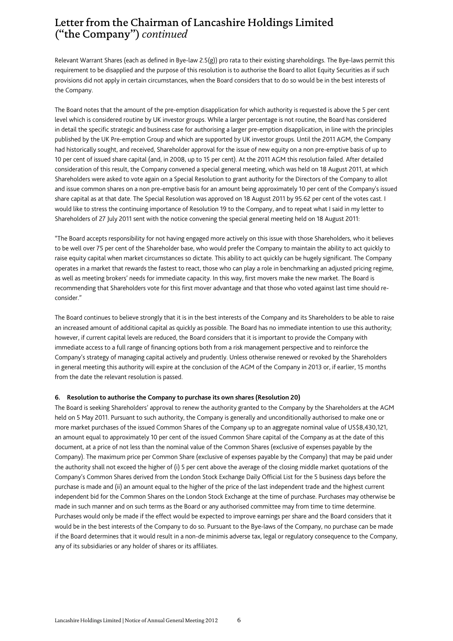# Letter from the Chairman of Lancashire Holdings Limited ("the Company") *continued*

Relevant Warrant Shares (each as defined in Bye-law 2.5(g)) pro rata to their existing shareholdings. The Bye-laws permit this requirement to be disapplied and the purpose of this resolution is to authorise the Board to allot Equity Securities as if such provisions did not apply in certain circumstances, when the Board considers that to do so would be in the best interests of the Company.

The Board notes that the amount of the pre-emption disapplication for which authority is requested is above the 5 per cent level which is considered routine by UK investor groups. While a larger percentage is not routine, the Board has considered in detail the specific strategic and business case for authorising a larger pre-emption disapplication, in line with the principles published by the UK Pre-emption Group and which are supported by UK investor groups. Until the 2011 AGM, the Company had historically sought, and received, Shareholder approval for the issue of new equity on a non pre-emptive basis of up to 10 per cent of issued share capital (and, in 2008, up to 15 per cent). At the 2011 AGM this resolution failed. After detailed consideration of this result, the Company convened a special general meeting, which was held on 18 August 2011, at which Shareholders were asked to vote again on a Special Resolution to grant authority for the Directors of the Company to allot and issue common shares on a non pre-emptive basis for an amount being approximately 10 per cent of the Company's issued share capital as at that date. The Special Resolution was approved on 18 August 2011 by 95.62 per cent of the votes cast. I would like to stress the continuing importance of Resolution 19 to the Company, and to repeat what I said in my letter to Shareholders of 27 July 2011 sent with the notice convening the special general meeting held on 18 August 2011:

"The Board accepts responsibility for not having engaged more actively on this issue with those Shareholders, who it believes to be well over 75 per cent of the Shareholder base, who would prefer the Company to maintain the ability to act quickly to raise equity capital when market circumstances so dictate. This ability to act quickly can be hugely significant. The Company operates in a market that rewards the fastest to react, those who can play a role in benchmarking an adjusted pricing regime, as well as meeting brokers' needs for immediate capacity. In this way, first movers make the new market. The Board is recommending that Shareholders vote for this first mover advantage and that those who voted against last time should reconsider."

The Board continues to believe strongly that it is in the best interests of the Company and its Shareholders to be able to raise an increased amount of additional capital as quickly as possible. The Board has no immediate intention to use this authority; however, if current capital levels are reduced, the Board considers that it is important to provide the Company with immediate access to a full range of financing options both from a risk management perspective and to reinforce the Company's strategy of managing capital actively and prudently. Unless otherwise renewed or revoked by the Shareholders in general meeting this authority will expire at the conclusion of the AGM of the Company in 2013 or, if earlier, 15 months from the date the relevant resolution is passed.

#### **6. Resolution to authorise the Company to purchase its own shares (Resolution 20)**

The Board is seeking Shareholders' approval to renew the authority granted to the Company by the Shareholders at the AGM held on 5 May 2011. Pursuant to such authority, the Company is generally and unconditionally authorised to make one or more market purchases of the issued Common Shares of the Company up to an aggregate nominal value of US\$8,430,121, an amount equal to approximately 10 per cent of the issued Common Share capital of the Company as at the date of this document, at a price of not less than the nominal value of the Common Shares (exclusive of expenses payable by the Company). The maximum price per Common Share (exclusive of expenses payable by the Company) that may be paid under the authority shall not exceed the higher of (i) 5 per cent above the average of the closing middle market quotations of the Company's Common Shares derived from the London Stock Exchange Daily Official List for the 5 business days before the purchase is made and (ii) an amount equal to the higher of the price of the last independent trade and the highest current independent bid for the Common Shares on the London Stock Exchange at the time of purchase. Purchases may otherwise be made in such manner and on such terms as the Board or any authorised committee may from time to time determine. Purchases would only be made if the effect would be expected to improve earnings per share and the Board considers that it would be in the best interests of the Company to do so. Pursuant to the Bye-laws of the Company, no purchase can be made if the Board determines that it would result in a non-de minimis adverse tax, legal or regulatory consequence to the Company, any of its subsidiaries or any holder of shares or its affiliates.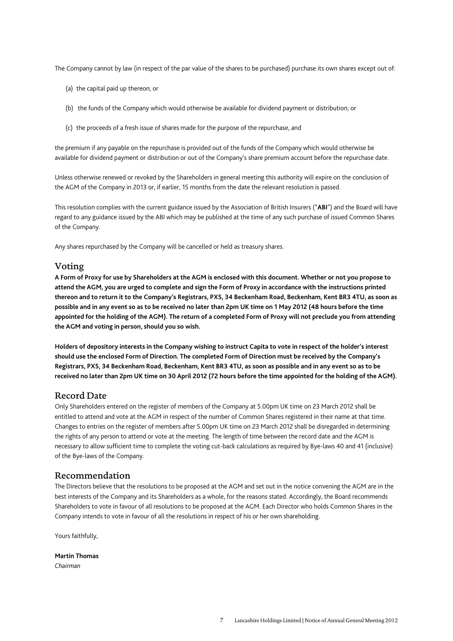The Company cannot by law (in respect of the par value of the shares to be purchased) purchase its own shares except out of:

- (a) the capital paid up thereon; or
- (b) the funds of the Company which would otherwise be available for dividend payment or distribution; or
- (c) the proceeds of a fresh issue of shares made for the purpose of the repurchase, and

the premium if any payable on the repurchase is provided out of the funds of the Company which would otherwise be available for dividend payment or distribution or out of the Company's share premium account before the repurchase date.

Unless otherwise renewed or revoked by the Shareholders in general meeting this authority will expire on the conclusion of the AGM of the Company in 2013 or, if earlier, 15 months from the date the relevant resolution is passed.

This resolution complies with the current guidance issued by the Association of British Insurers ("**ABI**") and the Board will have regard to any guidance issued by the ABI which may be published at the time of any such purchase of issued Common Shares of the Company.

Any shares repurchased by the Company will be cancelled or held as treasury shares.

## Voting

**A Form of Proxy for use by Shareholders at the AGM is enclosed with this document. Whether or not you propose to attend the AGM, you are urged to complete and sign the Form of Proxy in accordance with the instructions printed thereon and to return it to the Company's Registrars, PXS, 34 Beckenham Road, Beckenham, Kent BR3 4TU, as soon as possible and in any event so as to be received no later than 2pm UK time on 1 May 2012 (48 hours before the time appointed for the holding of the AGM). The return of a completed Form of Proxy will not preclude you from attending the AGM and voting in person, should you so wish.** 

**Holders of depository interests in the Company wishing to instruct Capita to vote in respect of the holder's interest should use the enclosed Form of Direction. The completed Form of Direction must be received by the Company's Registrars, PXS, 34 Beckenham Road, Beckenham, Kent BR3 4TU, as soon as possible and in any event so as to be received no later than 2pm UK time on 30 April 2012 (72 hours before the time appointed for the holding of the AGM).** 

## Record Date

Only Shareholders entered on the register of members of the Company at 5.00pm UK time on 23 March 2012 shall be entitled to attend and vote at the AGM in respect of the number of Common Shares registered in their name at that time. Changes to entries on the register of members after 5.00pm UK time on 23 March 2012 shall be disregarded in determining the rights of any person to attend or vote at the meeting. The length of time between the record date and the AGM is necessary to allow sufficient time to complete the voting cut-back calculations as required by Bye-laws 40 and 41 (inclusive) of the Bye-laws of the Company.

## Recommendation

The Directors believe that the resolutions to be proposed at the AGM and set out in the notice convening the AGM are in the best interests of the Company and its Shareholders as a whole, for the reasons stated. Accordingly, the Board recommends Shareholders to vote in favour of all resolutions to be proposed at the AGM. Each Director who holds Common Shares in the Company intends to vote in favour of all the resolutions in respect of his or her own shareholding.

Yours faithfully,

**Martin Thomas**  *Chairman*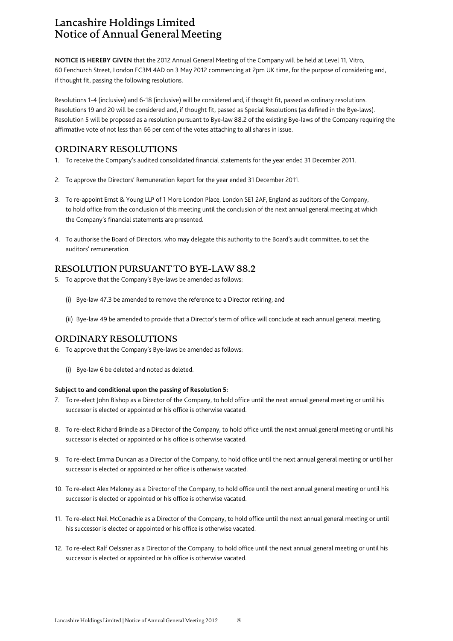# Lancashire Holdings Limited Notice of Annual General Meeting

**NOTICE IS HEREBY GIVEN** that the 2012 Annual General Meeting of the Company will be held at Level 11, Vitro, 60 Fenchurch Street, London EC3M 4AD on 3 May 2012 commencing at 2pm UK time, for the purpose of considering and, if thought fit, passing the following resolutions.

Resolutions 1-4 (inclusive) and 6-18 (inclusive) will be considered and, if thought fit, passed as ordinary resolutions. Resolutions 19 and 20 will be considered and, if thought fit, passed as Special Resolutions (as defined in the Bye-laws). Resolution 5 will be proposed as a resolution pursuant to Bye-law 88.2 of the existing Bye-laws of the Company requiring the affirmative vote of not less than 66 per cent of the votes attaching to all shares in issue.

## ORDINARY RESOLUTIONS

- 1. To receive the Company's audited consolidated financial statements for the year ended 31 December 2011.
- 2. To approve the Directors' Remuneration Report for the year ended 31 December 2011.
- 3. To re-appoint Ernst & Young LLP of 1 More London Place, London SE1 2AF, England as auditors of the Company, to hold office from the conclusion of this meeting until the conclusion of the next annual general meeting at which the Company's financial statements are presented.
- 4. To authorise the Board of Directors, who may delegate this authority to the Board's audit committee, to set the auditors' remuneration.

## RESOLUTION PURSUANT TO BYE-LAW 88.2

- 5. To approve that the Company's Bye-laws be amended as follows:
	- (i) Bye-law 47.3 be amended to remove the reference to a Director retiring; and
	- (ii) Bye-law 49 be amended to provide that a Director's term of office will conclude at each annual general meeting.

## ORDINARY RESOLUTIONS

- 6. To approve that the Company's Bye-laws be amended as follows:
	- (i) Bye-law 6 be deleted and noted as deleted.

### **Subject to and conditional upon the passing of Resolution 5:**

- 7. To re-elect John Bishop as a Director of the Company, to hold office until the next annual general meeting or until his successor is elected or appointed or his office is otherwise vacated.
- 8. To re-elect Richard Brindle as a Director of the Company, to hold office until the next annual general meeting or until his successor is elected or appointed or his office is otherwise vacated.
- 9. To re-elect Emma Duncan as a Director of the Company, to hold office until the next annual general meeting or until her successor is elected or appointed or her office is otherwise vacated.
- 10. To re-elect Alex Maloney as a Director of the Company, to hold office until the next annual general meeting or until his successor is elected or appointed or his office is otherwise vacated.
- 11. To re-elect Neil McConachie as a Director of the Company, to hold office until the next annual general meeting or until his successor is elected or appointed or his office is otherwise vacated.
- 12. To re-elect Ralf Oelssner as a Director of the Company, to hold office until the next annual general meeting or until his successor is elected or appointed or his office is otherwise vacated.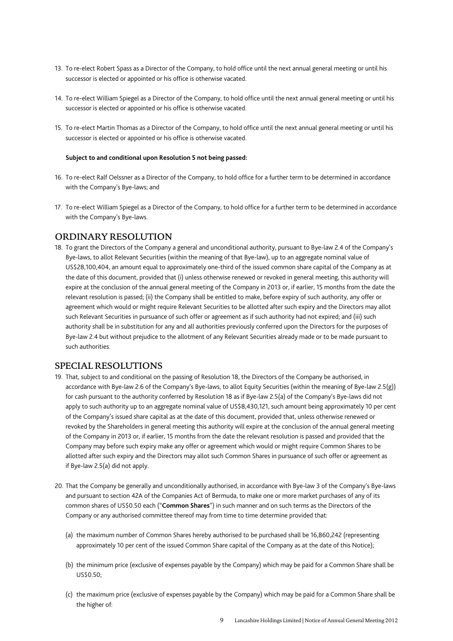- 13. To re-elect Robert Spass as a Director of the Company, to hold office until the next annual general meeting or until his successor is elected or appointed or his office is otherwise vacated.
- 14. To re-elect William Spiegel as a Director of the Company, to hold office until the next annual general meeting or until his successor is elected or appointed or his office is otherwise vacated.
- 15. To re-elect Martin Thomas as a Director of the Company, to hold office until the next annual general meeting or until his successor is elected or appointed or his office is otherwise vacated.

#### **Subject to and conditional upon Resolution 5 not being passed:**

- 16. To re-elect Ralf Oelssner as a Director of the Company, to hold office for a further term to be determined in accordance with the Company's Bye-laws; and
- 17. To re-elect William Spiegel as a Director of the Company, to hold office for a further term to be determined in accordance with the Company's Bye-laws.

### ORDINARY RESOLUTION

18. To grant the Directors of the Company a general and unconditional authority, pursuant to Bye-law 2.4 of the Company's Bye-laws, to allot Relevant Securities (within the meaning of that Bye-law), up to an aggregate nominal value of US\$28,100,404, an amount equal to approximately one-third of the issued common share capital of the Company as at the date of this document, provided that (i) unless otherwise renewed or revoked in general meeting, this authority will expire at the conclusion of the annual general meeting of the Company in 2013 or, if earlier, 15 months from the date the relevant resolution is passed; (ii) the Company shall be entitled to make, before expiry of such authority, any offer or agreement which would or might require Relevant Securities to be allotted after such expiry and the Directors may allot such Relevant Securities in pursuance of such offer or agreement as if such authority had not expired; and (iii) such authority shall be in substitution for any and all authorities previously conferred upon the Directors for the purposes of Bye-law 2.4 but without prejudice to the allotment of any Relevant Securities already made or to be made pursuant to such authorities.

### SPECIAL RESOLUTIONS

- 19. That, subject to and conditional on the passing of Resolution 18, the Directors of the Company be authorised, in accordance with Bye-law 2.6 of the Company's Bye-laws, to allot Equity Securities (within the meaning of Bye-law 2.5(g)) for cash pursuant to the authority conferred by Resolution 18 as if Bye-law 2.5(a) of the Company's Bye-laws did not apply to such authority up to an aggregate nominal value of US\$8,430,121, such amount being approximately 10 per cent of the Company's issued share capital as at the date of this document, provided that, unless otherwise renewed or revoked by the Shareholders in general meeting this authority will expire at the conclusion of the annual general meeting of the Company in 2013 or, if earlier, 15 months from the date the relevant resolution is passed and provided that the Company may before such expiry make any offer or agreement which would or might require Common Shares to be allotted after such expiry and the Directors may allot such Common Shares in pursuance of such offer or agreement as if Bye-law 2.5(a) did not apply.
- 20. That the Company be generally and unconditionally authorised, in accordance with Bye-law 3 of the Company's Bye-laws and pursuant to section 42A of the Companies Act of Bermuda, to make one or more market purchases of any of its common shares of US\$0.50 each ("**Common Shares**") in such manner and on such terms as the Directors of the Company or any authorised committee thereof may from time to time determine provided that:
	- (a) the maximum number of Common Shares hereby authorised to be purchased shall be 16,860,242 (representing approximately 10 per cent of the issued Common Share capital of the Company as at the date of this Notice);
	- (b) the minimum price (exclusive of expenses payable by the Company) which may be paid for a Common Share shall be  $U$ S\$0.50 $\cdot$
	- (c) the maximum price (exclusive of expenses payable by the Company) which may be paid for a Common Share shall be the higher of: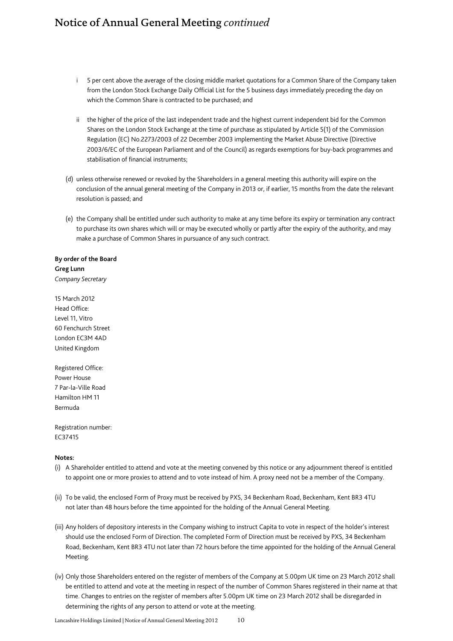# Notice of Annual General Meeting *continued*

- i 5 per cent above the average of the closing middle market quotations for a Common Share of the Company taken from the London Stock Exchange Daily Official List for the 5 business days immediately preceding the day on which the Common Share is contracted to be purchased; and
- ii the higher of the price of the last independent trade and the highest current independent bid for the Common Shares on the London Stock Exchange at the time of purchase as stipulated by Article 5(1) of the Commission Regulation (EC) No.2273/2003 of 22 December 2003 implementing the Market Abuse Directive (Directive 2003/6/EC of the European Parliament and of the Council) as regards exemptions for buy-back programmes and stabilisation of financial instruments;
- (d) unless otherwise renewed or revoked by the Shareholders in a general meeting this authority will expire on the conclusion of the annual general meeting of the Company in 2013 or, if earlier, 15 months from the date the relevant resolution is passed; and
- (e) the Company shall be entitled under such authority to make at any time before its expiry or termination any contract to purchase its own shares which will or may be executed wholly or partly after the expiry of the authority, and may make a purchase of Common Shares in pursuance of any such contract.

### **By order of the Board Greg Lunn**  *Company Secretary*

15 March 2012 Head Office: Level 11, Vitro 60 Fenchurch Street London EC3M 4AD United Kingdom

Registered Office: Power House 7 Par-la-Ville Road Hamilton HM 11 Bermuda

Registration number: EC37415

#### **Notes:**

- (i) A Shareholder entitled to attend and vote at the meeting convened by this notice or any adjournment thereof is entitled to appoint one or more proxies to attend and to vote instead of him. A proxy need not be a member of the Company.
- (ii) To be valid, the enclosed Form of Proxy must be received by PXS, 34 Beckenham Road, Beckenham, Kent BR3 4TU not later than 48 hours before the time appointed for the holding of the Annual General Meeting.
- (iii) Any holders of depository interests in the Company wishing to instruct Capita to vote in respect of the holder's interest should use the enclosed Form of Direction. The completed Form of Direction must be received by PXS, 34 Beckenham Road, Beckenham, Kent BR3 4TU not later than 72 hours before the time appointed for the holding of the Annual General Meeting.
- (iv) Only those Shareholders entered on the register of members of the Company at 5.00pm UK time on 23 March 2012 shall be entitled to attend and vote at the meeting in respect of the number of Common Shares registered in their name at that time. Changes to entries on the register of members after 5.00pm UK time on 23 March 2012 shall be disregarded in determining the rights of any person to attend or vote at the meeting.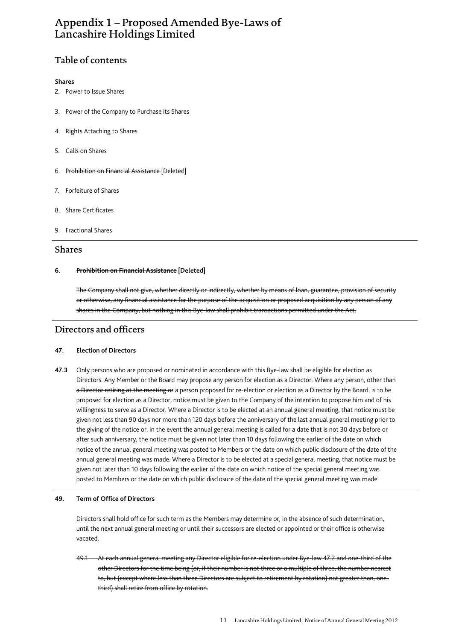# Appendix 1 – Proposed Amended Bye-Laws of Lancashire Holdings Limited

## Table of contents

#### **Shares**

- 2. Power to Issue Shares
- 3. Power of the Company to Purchase its Shares
- 4. Rights Attaching to Shares
- 5. Calls on Shares
- 6. Prohibition on Financial Assistance [Deleted]
- 7. Forfeiture of Shares
- 8. Share Certificates
- 9. Fractional Shares

### Shares

### **6. Prohibition on Financial Assistance [Deleted]**

The Company shall not give, whether directly or indirectly, whether by means of loan, guarantee, provision of security or otherwise, any financial assistance for the purpose of the acquisition or proposed acquisition by any person of any shares in the Company, but nothing in this Bye-law shall prohibit transactions permitted under the Act.

## Directors and officers

### **47. Election of Directors**

**47.3** Only persons who are proposed or nominated in accordance with this Bye-law shall be eligible for election as Directors. Any Member or the Board may propose any person for election as a Director. Where any person, other than a Director retiring at the meeting or a person proposed for re-election or election as a Director by the Board, is to be proposed for election as a Director, notice must be given to the Company of the intention to propose him and of his willingness to serve as a Director. Where a Director is to be elected at an annual general meeting, that notice must be given not less than 90 days nor more than 120 days before the anniversary of the last annual general meeting prior to the giving of the notice or, in the event the annual general meeting is called for a date that is not 30 days before or after such anniversary, the notice must be given not later than 10 days following the earlier of the date on which notice of the annual general meeting was posted to Members or the date on which public disclosure of the date of the annual general meeting was made. Where a Director is to be elected at a special general meeting, that notice must be given not later than 10 days following the earlier of the date on which notice of the special general meeting was posted to Members or the date on which public disclosure of the date of the special general meeting was made.

### **49. Term of Office of Directors**

Directors shall hold office for such term as the Members may determine or, in the absence of such determination, until the next annual general meeting or until their successors are elected or appointed or their office is otherwise vacated.

49.1 At each annual general meeting any Director eligible for re-election under Bye-law 47.2 and one-third of the other Directors for the time being (or, if their number is not three or a multiple of three, the number nearest to, but (except where less than three Directors are subject to retirement by rotation) not greater than, onethird) shall retire from office by rotation.